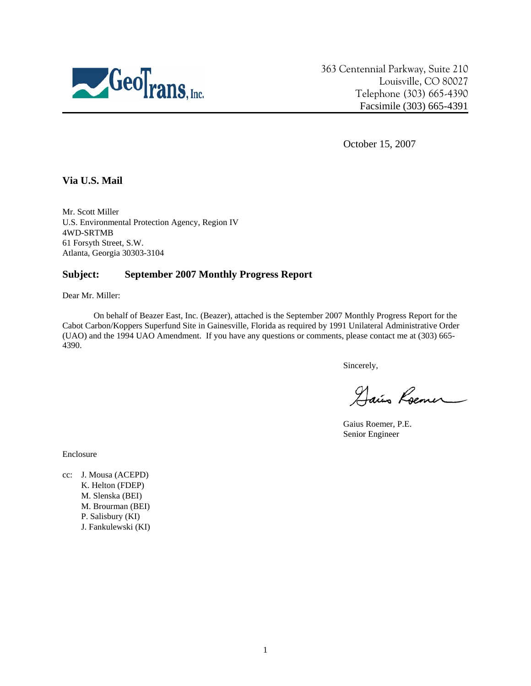

363 Centennial Parkway, Suite 210 Louisville, CO 80027 Telephone (303) 665-4390 Facsimile (303) 665-4391

October 15, 2007

## **Via U.S. Mail**

Mr. Scott Miller U.S. Environmental Protection Agency, Region IV 4WD-SRTMB 61 Forsyth Street, S.W. Atlanta, Georgia 30303-3104

#### **Subject: September 2007 Monthly Progress Report**

Dear Mr. Miller:

On behalf of Beazer East, Inc. (Beazer), attached is the September 2007 Monthly Progress Report for the Cabot Carbon/Koppers Superfund Site in Gainesville, Florida as required by 1991 Unilateral Administrative Order (UAO) and the 1994 UAO Amendment. If you have any questions or comments, please contact me at (303) 665- 4390.

Sincerely,

Dais Roemer

Gaius Roemer, P.E. Senior Engineer

Enclosure

cc: J. Mousa (ACEPD) K. Helton (FDEP) M. Slenska (BEI) M. Brourman (BEI) P. Salisbury (KI) J. Fankulewski (KI)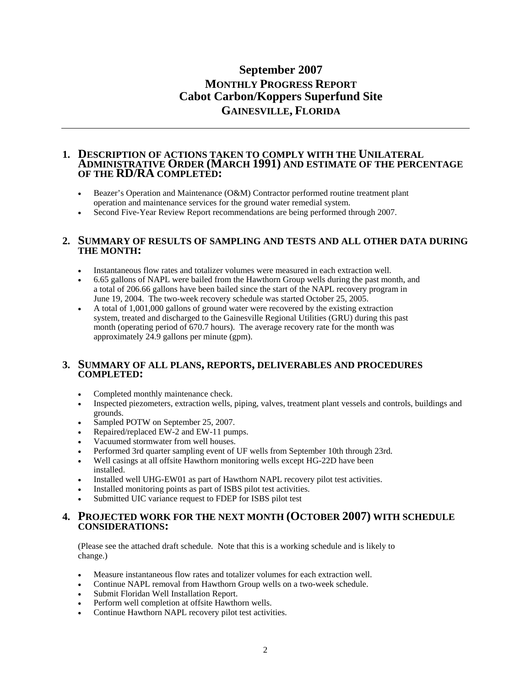# **September 2007 MONTHLY PROGRESS REPORT Cabot Carbon/Koppers Superfund Site GAINESVILLE, FLORIDA**

#### **1. DESCRIPTION OF ACTIONS TAKEN TO COMPLY WITH THE UNILATERAL ADMINISTRATIVE ORDER (MARCH 1991) AND ESTIMATE OF THE PERCENTAGE OF THE RD/RA COMPLETED:**

- Beazer's Operation and Maintenance (O&M) Contractor performed routine treatment plant operation and maintenance services for the ground water remedial system.
- Second Five-Year Review Report recommendations are being performed through 2007.

#### **2. SUMMARY OF RESULTS OF SAMPLING AND TESTS AND ALL OTHER DATA DURING THE MONTH:**

- Instantaneous flow rates and totalizer volumes were measured in each extraction well.
- 6.65 gallons of NAPL were bailed from the Hawthorn Group wells during the past month, and a total of 206.66 gallons have been bailed since the start of the NAPL recovery program in June 19, 2004. The two-week recovery schedule was started October 25, 2005.
- A total of 1,001,000 gallons of ground water were recovered by the existing extraction system, treated and discharged to the Gainesville Regional Utilities (GRU) during this past month (operating period of 670.7 hours). The average recovery rate for the month was approximately 24.9 gallons per minute (gpm).

#### **3. SUMMARY OF ALL PLANS, REPORTS, DELIVERABLES AND PROCEDURES COMPLETED:**

- Completed monthly maintenance check.
- Inspected piezometers, extraction wells, piping, valves, treatment plant vessels and controls, buildings and grounds.
- Sampled POTW on September 25, 2007.
- Repaired/replaced EW-2 and EW-11 pumps.
- Vacuumed stormwater from well houses.
- Performed 3rd quarter sampling event of UF wells from September 10th through 23rd.
- Well casings at all offsite Hawthorn monitoring wells except HG-22D have been installed.
- Installed well UHG-EW01 as part of Hawthorn NAPL recovery pilot test activities.
- Installed monitoring points as part of ISBS pilot test activities.
- Submitted UIC variance request to FDEP for ISBS pilot test

#### **4. PROJECTED WORK FOR THE NEXT MONTH (OCTOBER 2007) WITH SCHEDULE CONSIDERATIONS:**

(Please see the attached draft schedule. Note that this is a working schedule and is likely to change.)

- Measure instantaneous flow rates and totalizer volumes for each extraction well.
- Continue NAPL removal from Hawthorn Group wells on a two-week schedule.
- Submit Floridan Well Installation Report.
- Perform well completion at offsite Hawthorn wells.
- Continue Hawthorn NAPL recovery pilot test activities.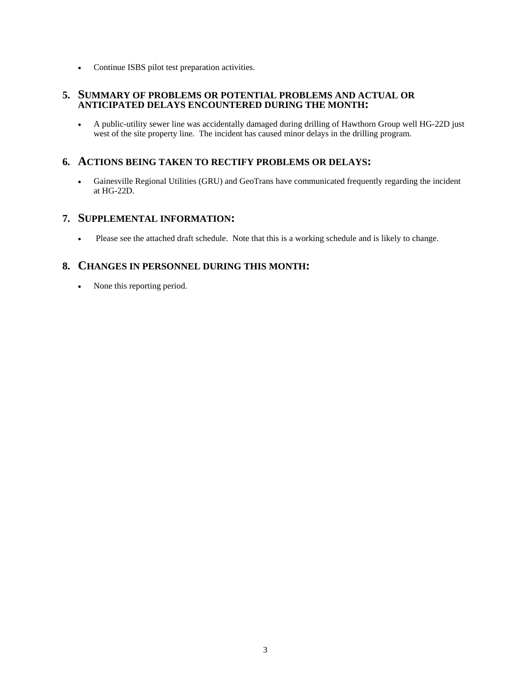• Continue ISBS pilot test preparation activities.

#### **5. SUMMARY OF PROBLEMS OR POTENTIAL PROBLEMS AND ACTUAL OR ANTICIPATED DELAYS ENCOUNTERED DURING THE MONTH:**

• A public-utility sewer line was accidentally damaged during drilling of Hawthorn Group well HG-22D just west of the site property line. The incident has caused minor delays in the drilling program.

# **6. ACTIONS BEING TAKEN TO RECTIFY PROBLEMS OR DELAYS:**

• Gainesville Regional Utilities (GRU) and GeoTrans have communicated frequently regarding the incident at HG-22D.

## **7. SUPPLEMENTAL INFORMATION:**

• Please see the attached draft schedule. Note that this is a working schedule and is likely to change.

# **8. CHANGES IN PERSONNEL DURING THIS MONTH:**

• None this reporting period.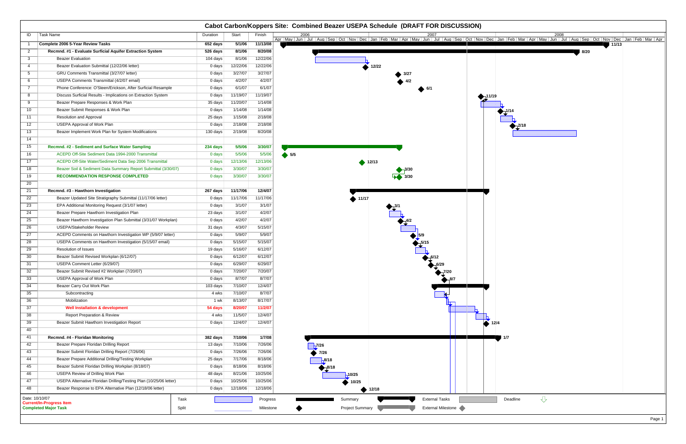|                 |                                                                    |          |                    |           | <b>Cabot Carbon/Koppers Site: Combined Beazer USEPA Schedule (DRAFT FOR DISCUSSION)</b>                                                                                                                                                     |                                      |
|-----------------|--------------------------------------------------------------------|----------|--------------------|-----------|---------------------------------------------------------------------------------------------------------------------------------------------------------------------------------------------------------------------------------------------|--------------------------------------|
| ID              | Task Name                                                          | Duration | Start              | Finish    | 2006<br>2007<br>Apr   May   Jun   Jul   Aug   Sep   Oct   Nov   Dec   Jan   Feb   Mar   Apr   May   Jun   Jul   Aug   Sep   Oct   Nov   Dec   Jan   Feb   Mar   Apr   May   Jun   Jul   Aug   Sep   Oct   Nov   Dec   Jan   Feb   Mar   Apr | 2008                                 |
| $\overline{1}$  | Complete 2006 5-Year Review Tasks                                  | 652 days | 5/1/06             | 11/13/08  |                                                                                                                                                                                                                                             | 11/13<br>and the first products.     |
| $\overline{2}$  | Recmnd. #1 - Evaluate Surficial Aquifer Extraction System          | 526 days | 8/1/06             | 8/20/08   |                                                                                                                                                                                                                                             | 8/20                                 |
| $\mathbf{3}$    | <b>Beazer Evaluation</b>                                           | 104 days | 8/1/06             | 12/22/06  |                                                                                                                                                                                                                                             |                                      |
| $\overline{4}$  | Beazer Evaluation Submittal (12/22/06 letter)                      | 0 days   | 12/22/06           | 12/22/06  | 12/22                                                                                                                                                                                                                                       |                                      |
| 5 <sup>5</sup>  | GRU Comments Transmittal (3/27/07 letter)                          | 0 days   | 3/27/07            | 3/27/07   |                                                                                                                                                                                                                                             |                                      |
| 6               | USEPA Comments Transmittal (4/2/07 email)                          | 0 days   | 4/2/07             | 4/2/07    |                                                                                                                                                                                                                                             |                                      |
| $\overline{7}$  | Phone Conference: O'Steen/Erickson, After Surficial Resample       | 0 days   | 6/1/07             | 6/1/07    |                                                                                                                                                                                                                                             |                                      |
| 8               | Discuss Surficial Results - Implications on Extraction System      | 0 days   | 11/19/07           | 11/19/07  |                                                                                                                                                                                                                                             | 11/19                                |
| 9               | Beazer Prepare Responses & Work Plan                               | 35 days  | 11/20/07           | 1/14/08   |                                                                                                                                                                                                                                             |                                      |
| 10 <sup>°</sup> | Beazer Submit Responses & Work Plan                                | 0 days   | 1/14/08            | 1/14/08   |                                                                                                                                                                                                                                             |                                      |
| 11              | <b>Resolution and Approval</b>                                     | 25 days  | 1/15/08            | 2/18/08   |                                                                                                                                                                                                                                             |                                      |
| 12              | <b>USEPA Approval of Work Plan</b>                                 | 0 days   | 2/18/08            | 2/18/08   |                                                                                                                                                                                                                                             |                                      |
| 13              | Beazer Implement Work Plan for System Modifications                | 130 days | 2/19/08            | 8/20/08   |                                                                                                                                                                                                                                             |                                      |
| 14              |                                                                    |          |                    |           |                                                                                                                                                                                                                                             |                                      |
| 15              | Recmnd. #2 - Sediment and Surface Water Sampling                   | 234 days | 5/5/06             | 3/30/07   |                                                                                                                                                                                                                                             |                                      |
| 16              | ACEPD Off-Site Sediment Data 1994-2000 Transmittal                 | 0 days   | 5/5/06             | 5/5/06    | $\bullet$ 5/5                                                                                                                                                                                                                               |                                      |
| 17              | ACEPD Off-Site Water/Sediment Data Sep 2006 Transmittal            | 0 days   | 12/13/06           | 12/13/06  |                                                                                                                                                                                                                                             |                                      |
|                 |                                                                    |          |                    | 3/30/07   | $\triangle$ 12/13                                                                                                                                                                                                                           |                                      |
| 18              | Beazer Soil & Sediment Data Summary Report Submittal (3/30/07)     | 0 days   | 3/30/07<br>3/30/07 | 3/30/07   |                                                                                                                                                                                                                                             |                                      |
| 19              | <b>RECOMMENDATION RESPONSE COMPLETED</b>                           | 0 days   |                    |           | $\overline{\smash{3}}$ 3/30                                                                                                                                                                                                                 |                                      |
| 20              |                                                                    |          |                    |           |                                                                                                                                                                                                                                             |                                      |
| 21              | Recmnd. #3 - Hawthorn Investigation                                | 267 days | 11/17/06           | 12/4/07   |                                                                                                                                                                                                                                             |                                      |
| 22              | Beazer Updated Site Stratigraphy Submittal (11/17/06 letter)       | 0 days   | 11/17/06           | 11/17/06  | 411/17                                                                                                                                                                                                                                      |                                      |
| 23              | EPA Additional Monitoring Request (3/1/07 letter)                  | 0 days   | 3/1/07             | 3/1/07    |                                                                                                                                                                                                                                             |                                      |
| 24              | Beazer Prepare Hawthorn Investigation Plan                         | 23 days  | 3/1/07             | 4/2/07    |                                                                                                                                                                                                                                             |                                      |
| 25              | Beazer Hawthorn Investigation Plan Submittal (3/31/07 Workplan)    | 0 days   | 4/2/07             | 4/2/07    |                                                                                                                                                                                                                                             |                                      |
| 26              | <b>USEPA/Stakeholder Review</b>                                    | 31 days  | 4/3/07             | 5/15/07   |                                                                                                                                                                                                                                             |                                      |
| 27              | ACEPD Comments on Hawthorn Investigation WP (5/9/07 letter)        | 0 days   | 5/9/07             | 5/9/07    | 5/9                                                                                                                                                                                                                                         |                                      |
| 28              | USEPA Comments on Hawthorn Investigation (5/15/07 email)           | 0 days   | 5/15/07            | 5/15/07   |                                                                                                                                                                                                                                             |                                      |
| 29              | Resolution of Issues                                               | 19 days  | 5/16/07            | 6/12/07   |                                                                                                                                                                                                                                             |                                      |
| 30              | Beazer Submit Revised Workplan (6/12/07)                           | 0 days   | 6/12/07            | 6/12/07   |                                                                                                                                                                                                                                             |                                      |
| 31              | USEPA Comment Letter (6/29/07)                                     | 0 days   | 6/29/07            | 6/29/07   |                                                                                                                                                                                                                                             |                                      |
| 32              | Beazer Submit Revised #2 Workplan (7/20/07)                        | 0 days   | 7/20/07            | 7/20/07   | ́→                                                                                                                                                                                                                                          |                                      |
| 33              | <b>USEPA Approval of Work Plan</b>                                 | 0 days   | 8/7/07             | 8/7/07    | $\bigoplus_{1}$ 8/7                                                                                                                                                                                                                         |                                      |
| 34              | Beazer Carry Out Work Plan                                         | 103 days | 7/10/07            | 12/4/07   |                                                                                                                                                                                                                                             |                                      |
| 35              | Subcontracting                                                     | 4 wks    | 7/10/07            | 8/7/07    |                                                                                                                                                                                                                                             |                                      |
| 36              | Mobilization                                                       | 1 wk     | 8/13/07            | 8/17/07   |                                                                                                                                                                                                                                             |                                      |
| 37              | <b>Well Installation &amp; development</b>                         | 54 days  | 8/20/07            | 11/2/07   |                                                                                                                                                                                                                                             |                                      |
| 38              | <b>Report Preparation &amp; Review</b>                             | 4 wks    | 11/5/07            | 12/4/07   |                                                                                                                                                                                                                                             |                                      |
| 39              | Beazer Submit Hawthorn Investigation Report                        | 0 days   | 12/4/07            | 12/4/07   |                                                                                                                                                                                                                                             | 12/4                                 |
| 40              |                                                                    |          |                    |           |                                                                                                                                                                                                                                             |                                      |
| 41              | Recmnd. #4 - Floridan Monitoring                                   | 382 days | 7/10/06            | 1/7/08    |                                                                                                                                                                                                                                             | -1/7                                 |
| 42              | Beazer Prepare Floridan Drilling Report                            | 13 days  | 7/10/06            | 7/26/06   | $-7/26$                                                                                                                                                                                                                                     |                                      |
| 43              | Beazer Submit Floridan Drilling Report (7/26/06)                   | 0 days   | 7/26/06            | 7/26/06   | 7/26                                                                                                                                                                                                                                        |                                      |
| 44              | Beazer Prepare Additional Drilling/Testing Workplan                | 25 days  | 7/17/06            | 8/18/06   | $-8/18$                                                                                                                                                                                                                                     |                                      |
| 45              | Beazer Submit Floridan Drilling Workplan (8/18/07)                 | 0 days   | 8/18/06            | 8/18/06   | $\frac{8}{18}$                                                                                                                                                                                                                              |                                      |
| 46              | <b>USEPA Review of Drilling Work Plan</b>                          | 48 days  | 8/21/06            | 10/25/06  | $-10/25$                                                                                                                                                                                                                                    |                                      |
| 47              | USEPA Alternative Floridan Drilling/Testing Plan (10/25/06 letter) | 0 days   | 10/25/06           | 10/25/06  | 10/25                                                                                                                                                                                                                                       |                                      |
| 48              | Beazer Response to EPA Alternative Plan (12/18/06 letter)          | 0 days   | 12/18/06           | 12/18/06  | 12/18                                                                                                                                                                                                                                       |                                      |
| Date: 10/10/07  |                                                                    |          |                    |           |                                                                                                                                                                                                                                             |                                      |
|                 | Task<br><b>Current/In-Progress Item</b>                            |          |                    | Progress  | <b>External Tasks</b><br>Summary                                                                                                                                                                                                            | $\overline{\mathcal{L}}$<br>Deadline |
|                 | <b>Completed Major Task</b><br>Split                               |          |                    | Milestone | External Milestone<br><b>Project Summary</b>                                                                                                                                                                                                |                                      |

| 2008<br>Jan   Feb   Mar   Apr   May   Jun   Jul   Aug   Sep   Oct   Nov   Dec<br>$\mathsf{c}\mid$ | Jan   Feb   Mar   Apr |
|---------------------------------------------------------------------------------------------------|-----------------------|
| 8/20                                                                                              |                       |
|                                                                                                   |                       |
|                                                                                                   |                       |
|                                                                                                   |                       |
|                                                                                                   |                       |
| 19<br>÷                                                                                           |                       |
| $+1/14$                                                                                           |                       |
| ▀▀▊<br>2/18                                                                                       |                       |
|                                                                                                   |                       |
|                                                                                                   |                       |
|                                                                                                   |                       |
|                                                                                                   |                       |
|                                                                                                   |                       |
|                                                                                                   |                       |
|                                                                                                   |                       |
|                                                                                                   |                       |
|                                                                                                   |                       |
|                                                                                                   |                       |
|                                                                                                   |                       |
|                                                                                                   |                       |
|                                                                                                   |                       |
|                                                                                                   |                       |
|                                                                                                   |                       |
|                                                                                                   |                       |
|                                                                                                   |                       |
|                                                                                                   |                       |
| 12/4                                                                                              |                       |
|                                                                                                   |                       |
| 1/7                                                                                               |                       |
|                                                                                                   |                       |
|                                                                                                   |                       |
|                                                                                                   |                       |
|                                                                                                   |                       |
| $\overline{\mathcal{L}}$<br>Deadline                                                              |                       |
|                                                                                                   |                       |
|                                                                                                   | Page 1                |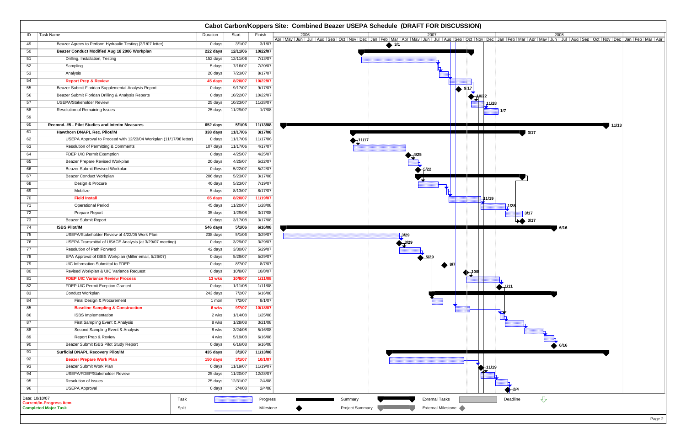|                |                                                                    |          |                               |           |                        | Cabot Carbon/Koppers Site: Combined Beazer USEPA Schedule (DRAFT FOR DISCUSSION)                                                                                                                                                            |
|----------------|--------------------------------------------------------------------|----------|-------------------------------|-----------|------------------------|---------------------------------------------------------------------------------------------------------------------------------------------------------------------------------------------------------------------------------------------|
| ID             | Task Name                                                          | Duration | Start                         | Finish    | 2006                   | 2007<br>2008<br>Apr   May   Jun   Jul   Aug   Sep   Oct   Nov   Dec   Jan   Feb   Mar   Apr   May   Jun   Jul   Aug   Sep   Oct   Nov   Dec   Jan   Feb   Mar   Apr   May   Jun   Jul   Aug   Sep   Oct   Nov   Dec   Jan   Feb   Mar   Apr |
| 49             | Beazer Agrees to Perform Hydraulic Testing (3/1/07 letter)         | 0 days   | 3/1/07                        | 3/1/07    |                        | $\overline{\frac{3}{1}}$                                                                                                                                                                                                                    |
| 50             | Beazer Conduct Modified Aug 18 2006 Workplan                       | 222 days | 12/11/06                      | 10/22/07  |                        |                                                                                                                                                                                                                                             |
| 51             | Drilling, Installation, Testing                                    | 152 days | 12/11/06                      | 7/13/07   |                        |                                                                                                                                                                                                                                             |
| 52             | Sampling                                                           | 5 days   | 7/16/07                       | 7/20/07   |                        |                                                                                                                                                                                                                                             |
| 53             | Analysis                                                           | 20 days  | 7/23/07                       | 8/17/07   |                        |                                                                                                                                                                                                                                             |
| 54             | <b>Report Prep &amp; Review</b>                                    | 45 days  | 8/20/07                       | 10/22/07  |                        |                                                                                                                                                                                                                                             |
| 55             | Beazer Submit Floridan Supplemental Analysis Report                | 0 days   | 9/17/07                       | 9/17/07   |                        | $\blacktriangleright$ 9.17                                                                                                                                                                                                                  |
| 56             | Beazer Submit Floridan Drilling & Analysis Reports                 | 0 days   | 10/22/07                      | 10/22/07  |                        | --10/22                                                                                                                                                                                                                                     |
| 57             | <b>USEPA/Stakeholder Review</b>                                    | 25 days  | 10/23/07                      | 11/28/07  |                        | 11/28 <del>,</del>                                                                                                                                                                                                                          |
| 58             | Resolution of Remaining Issues                                     | 25 days  | 11/29/07                      | 1/7/08    |                        | 1/7                                                                                                                                                                                                                                         |
| 59             |                                                                    |          |                               |           |                        |                                                                                                                                                                                                                                             |
| 60             | Recmnd. #5 - Pilot Studies and Interim Measures                    | 652 days | 5/1/06                        | 11/13/08  |                        | 11/13<br><b>TELEVISION</b>                                                                                                                                                                                                                  |
| 61             | Hawthorn DNAPL Rec. Pilot/IM                                       | 338 days | 11/17/06                      | 3/17/08   |                        | 3/17                                                                                                                                                                                                                                        |
| 62             | USEPA Approval to Proceed with 12/23/04 Workplan (11/17/06 letter) | 0 days   | 11/17/06                      | 11/17/06  | 11/17                  |                                                                                                                                                                                                                                             |
| 63             | <b>Resolution of Permitting &amp; Comments</b>                     | 107 days | 11/17/06                      | 4/17/07   |                        |                                                                                                                                                                                                                                             |
| 64             | FDEP UIC Permit Exemption                                          | 0 days   | 4/25/07                       | 4/25/07   |                        |                                                                                                                                                                                                                                             |
| 65             | Beazer Prepare Revised Workplan                                    | 20 days  | 4/25/07                       | 5/22/07   |                        |                                                                                                                                                                                                                                             |
| 66             | Beazer Submit Revised Workplan                                     | 0 days   | 5/22/07                       | 5/22/07   |                        | $-5/22$                                                                                                                                                                                                                                     |
| 67             | Beazer Conduct Workplan                                            | 206 days | 5/23/07                       | 3/17/08   |                        |                                                                                                                                                                                                                                             |
| 68             | Design & Procure                                                   | 40 days  | 5/23/07                       | 7/19/07   |                        |                                                                                                                                                                                                                                             |
| 69             | Mobilize                                                           | 5 days   | 8/13/07                       | 8/17/07   |                        |                                                                                                                                                                                                                                             |
| 70             | <b>Field Install</b>                                               | 65 days  | 8/20/07                       | 11/19/07  |                        | H <sub>11/19</sub>                                                                                                                                                                                                                          |
| 71             | <b>Operational Period</b>                                          | 45 days  | 11/20/07                      | 1/28/08   |                        | $-1/28$                                                                                                                                                                                                                                     |
| 72             | Prepare Report                                                     | 35 days  | 1/29/08                       | 3/17/08   |                        | 3/17                                                                                                                                                                                                                                        |
| 73             | <b>Beazer Submit Report</b>                                        | 0 days   | 3/17/08                       | 3/17/08   |                        | $\rightarrow$ 3/17                                                                                                                                                                                                                          |
| 74             | <b>ISBS Pilot/IM</b>                                               | 546 days | 5/1/06                        | 6/16/08   |                        | 6/16                                                                                                                                                                                                                                        |
| 75             | USEPA/Stakeholder Review of 4/22/05 Work Plan                      | 238 days | 5/1/06                        | 3/29/07   |                        | $-3/29$                                                                                                                                                                                                                                     |
| 76             | USEPA Transmittal of USACE Analysis (at 3/29/07 meeting)           | 0 days   | 3/29/07                       | 3/29/07   |                        |                                                                                                                                                                                                                                             |
| 77             | <b>Resolution of Path Forward</b>                                  | 42 days  | 3/30/07                       | 5/29/07   |                        |                                                                                                                                                                                                                                             |
| 78             | EPA Approval of ISBS Workplan (Miller email, 5/26/07)              | 0 days   | 5/29/07                       | 5/29/07   |                        |                                                                                                                                                                                                                                             |
| 79             | UIC Information Submittal to FDEP                                  | 0 days   | 8/7/07                        | 8/7/07    |                        |                                                                                                                                                                                                                                             |
| 80             | Revised Workplan & UIC Variance Request                            | 0 days   | 10/8/07                       | 10/8/07   |                        | $4 - 10/8$<br>$\frac{1}{2}$                                                                                                                                                                                                                 |
| 81             | <b>FDEP UIC Variance Review Process</b>                            | 13 wks   | 10/8/07                       | 1/11/08   |                        |                                                                                                                                                                                                                                             |
| 82             | FDEP UIC Permit Exeption Granted                                   | 0 days   | 1/11/08                       | 1/11/08   |                        | $\bigotimes_{1}^{1/11}$                                                                                                                                                                                                                     |
| 83             | Conduct Workplan                                                   | 243 days | 7/2/07                        | 6/16/08   |                        |                                                                                                                                                                                                                                             |
| 84             | Final Design & Procurement                                         | 1 mon    | 7/2/07                        | 8/1/07    |                        |                                                                                                                                                                                                                                             |
| 85             | <b>Baseline Sampling &amp; Construction</b>                        | 6 wks    | 9/7/07                        | 10/18/07  |                        |                                                                                                                                                                                                                                             |
| 86             | <b>ISBS</b> Implementation                                         | 2 wks    | 1/14/08                       | 1/25/08   |                        |                                                                                                                                                                                                                                             |
| 87             | First Sampling Event & Analysis                                    | 8 wks    | 1/28/08                       | 3/21/08   |                        |                                                                                                                                                                                                                                             |
| 88             | Second Sampling Event & Analysis                                   | 8 wks    | 3/24/08                       | 5/16/08   |                        |                                                                                                                                                                                                                                             |
| 89             | Report Prep & Review                                               | 4 wks    | 5/19/08                       | 6/16/08   |                        |                                                                                                                                                                                                                                             |
| 90             | Beazer Submit ISBS Pilot Study Report                              | 0 days   | 6/16/08                       | 6/16/08   |                        | 6/16                                                                                                                                                                                                                                        |
| 91             | <b>Surficial DNAPL Recovery Pilot/IM</b>                           | 435 days | 3/1/07                        | 11/13/08  |                        |                                                                                                                                                                                                                                             |
| 92             | <b>Beazer Prepare Work Plan</b>                                    | 150 days | 3/1/07                        | 10/1/07   |                        |                                                                                                                                                                                                                                             |
| 93             | Beazer Submit Work Plan                                            | $0$ days | 11/19/07                      | 11/19/07  |                        | 11/19                                                                                                                                                                                                                                       |
| 94             | USEPA/FDEP/Stakeholder Review                                      | 25 days  | 11/20/07                      | 12/28/07  |                        |                                                                                                                                                                                                                                             |
| 95             | Resolution of Issues                                               | 25 days  | 12/31/07                      | 2/4/08    |                        |                                                                                                                                                                                                                                             |
| 96             | <b>USEPA Approval</b>                                              | 0 days   | 2/4/08                        | 2/4/08    |                        | $-2/4$                                                                                                                                                                                                                                      |
| Date: 10/10/07 | Task<br><b>Current/In-Progress Item</b>                            |          |                               | Progress  | Summary                | $\overline{\mathbb{C}}$<br><b>External Tasks</b><br>Deadline                                                                                                                                                                                |
|                | <b>Completed Major Task</b><br>Split                               |          | ,,,,,,,,,,,,,,,,,,,,,,,,,,,,, | Milestone | <b>Project Summary</b> | External Milestone                                                                                                                                                                                                                          |

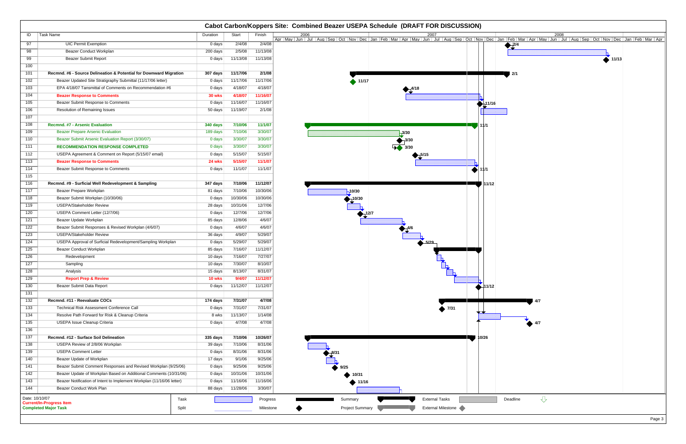| 2008<br>Aug Sep Oct Nov Dec<br>Jan   Feb   Mar   Apr   May   Jun  <br>Jul | Jan   Feb   Mar   Apr |
|---------------------------------------------------------------------------|-----------------------|
| $\frac{2}{4}$                                                             |                       |
| П<br>11/13                                                                |                       |
|                                                                           |                       |
| 2/1                                                                       |                       |
|                                                                           |                       |
|                                                                           |                       |
|                                                                           |                       |
| lin                                                                       |                       |
|                                                                           |                       |
|                                                                           |                       |
|                                                                           |                       |
|                                                                           |                       |
|                                                                           |                       |
|                                                                           |                       |
|                                                                           |                       |
|                                                                           |                       |
|                                                                           |                       |
|                                                                           |                       |
|                                                                           |                       |
|                                                                           |                       |
|                                                                           |                       |
|                                                                           |                       |
|                                                                           |                       |
|                                                                           |                       |
|                                                                           |                       |
|                                                                           |                       |
|                                                                           |                       |
| 4/7                                                                       |                       |
|                                                                           |                       |
|                                                                           |                       |
| 4/7                                                                       |                       |
|                                                                           |                       |
|                                                                           |                       |
|                                                                           |                       |
|                                                                           |                       |
|                                                                           |                       |
|                                                                           |                       |
|                                                                           |                       |
| $\overline{\mathbb{C}}$<br>Deadline                                       |                       |
|                                                                           |                       |
|                                                                           | Page 3                |

|                  |                                                                         |               |                     |           |                        | Cabot Carbon/Koppers Site: Combined Beazer USEPA Schedule (DRAFT FOR DISCUSSION) |                                                                                                                                                                                                                                     |
|------------------|-------------------------------------------------------------------------|---------------|---------------------|-----------|------------------------|----------------------------------------------------------------------------------|-------------------------------------------------------------------------------------------------------------------------------------------------------------------------------------------------------------------------------------|
| ID               | Task Name                                                               | Duration      | Start               | Finish    | 2006                   | 2007                                                                             | 2008<br>Apr   May   Jun   Jul   Aug   Sep   Oct   Nov   Dec   Jan   Feb   Mar   Apr   May   Jun   Jul   Aug   Sep   Oct   Nov   Dec   Jan   Feb   Mar   Apr   May   Jun   Jul   Aug   Sep   Oct   Nov   Dec   Jan   Feb   Mar   Apr |
| 97               | <b>UIC Permit Exemption</b>                                             | 0 days        | 2/4/08              | 2/4/08    |                        |                                                                                  | $\frac{2}{4}$                                                                                                                                                                                                                       |
| 98               | Beazer Conduct Workplan                                                 | 200 days      | 2/5/08              | 11/13/08  |                        |                                                                                  |                                                                                                                                                                                                                                     |
| 99               | <b>Beazer Submit Report</b>                                             | 0 days        | 11/13/08            | 11/13/08  |                        |                                                                                  | $\bullet$ 11/13                                                                                                                                                                                                                     |
| 100              |                                                                         |               |                     |           |                        |                                                                                  |                                                                                                                                                                                                                                     |
| 101              | Recmnd. #6 - Source Delineation & Potential for Downward Migration      | 307 days      | 11/17/06            | 2/1/08    |                        |                                                                                  | 12/1                                                                                                                                                                                                                                |
| 102              | Beazer Updated Site Stratigraphy Submittal (11/17/06 letter)            | 0 days        | 11/17/06            | 11/17/06  | $\rightarrow$ 11/17    |                                                                                  |                                                                                                                                                                                                                                     |
| 103              | EPA 4/18/07 Tansmittal of Comments on Recommendation #6                 | 0 days        | 4/18/07             | 4/18/07   |                        | 4/18                                                                             |                                                                                                                                                                                                                                     |
| 104              | <b>Beazer Response to Comments</b>                                      | <b>30 wks</b> | 4/18/07             | 11/16/07  |                        |                                                                                  |                                                                                                                                                                                                                                     |
| 105              | Beazer Submit Response to Comments                                      | 0 days        | 11/16/07            | 11/16/07  |                        |                                                                                  | 411/16                                                                                                                                                                                                                              |
| 106              | Resolution of Remaining Issues                                          | 50 days       | 11/19/07            | 2/1/08    |                        |                                                                                  |                                                                                                                                                                                                                                     |
| 107              |                                                                         |               |                     |           |                        |                                                                                  |                                                                                                                                                                                                                                     |
| 108              | <b>Recmnd. #7 - Arsenic Evaluation</b>                                  | 340 days      | 7/10/06             | 11/1/07   |                        |                                                                                  | ll 11/1                                                                                                                                                                                                                             |
| 109              | <b>Beazer Prepare Arsenic Evaluation</b>                                | 189 days      | 7/10/06             | 3/30/07   |                        | $-3/30$                                                                          |                                                                                                                                                                                                                                     |
| 110              | Beazer Submit Arsenic Evaluation Report (3/30/07)                       | 0 days        | 3/30/07             | 3/30/07   |                        | $\bigoplus$ 3/30                                                                 |                                                                                                                                                                                                                                     |
| 111              | <b>RECOMMENDATION RESPONSE COMPLETED</b>                                | 0 days        | 3/30/07             | 3/30/07   |                        | $\overline{4}$ 3/30                                                              |                                                                                                                                                                                                                                     |
| 112              | USEPA Agreement & Comment on Report (5/15/07 email)                     | 0 days        | 5/15/07             | 5/15/07   |                        |                                                                                  |                                                                                                                                                                                                                                     |
| 113              | <b>Beazer Response to Comments</b>                                      | 24 wks        | 5/15/07             | 11/1/07   |                        |                                                                                  |                                                                                                                                                                                                                                     |
| 114              | Beazer Submit Response to Comments                                      | 0 days        | 11/1/07             | 11/1/07   |                        | $\blacktriangle$ 11/1                                                            |                                                                                                                                                                                                                                     |
| 115              |                                                                         |               |                     |           |                        |                                                                                  |                                                                                                                                                                                                                                     |
| 116              | Recmnd. #9 - Surficial Well Redevelopment & Sampling                    | 347 days      | 7/10/06             | 11/12/07  |                        |                                                                                  | l 11/12                                                                                                                                                                                                                             |
| 117              | Beazer Prepare Workplan                                                 | 81 days       | 7/10/06             | 10/30/06  | $-10/30$               |                                                                                  |                                                                                                                                                                                                                                     |
| 118              | Beazer Submit Workplan (10/30/06)                                       | 0 days        | 10/30/06            | 10/30/06  | ,10/30                 |                                                                                  |                                                                                                                                                                                                                                     |
| 119              | <b>USEPA/Stakeholder Review</b>                                         | 28 days       | 10/31/06            | 12/7/06   |                        |                                                                                  |                                                                                                                                                                                                                                     |
| 120              | USEPA Comment Letter (12/7/06)                                          | 0 days        | 12/7/06             | 12/7/06   | 12/7                   |                                                                                  |                                                                                                                                                                                                                                     |
| 121              | Beazer Update Workplan                                                  | 85 days       | 12/8/06             | 4/6/07    |                        |                                                                                  |                                                                                                                                                                                                                                     |
| 122              | Beazer Submit Responses & Revised Workplan (4/6/07)                     | 0 days        | 4/6/07              | 4/6/07    |                        |                                                                                  |                                                                                                                                                                                                                                     |
| 123              | <b>USEPA/Stakeholder Review</b>                                         | 36 days       | 4/9/07              | 5/29/07   |                        |                                                                                  |                                                                                                                                                                                                                                     |
| 124              | USEPA Approval of Surficial Redevelopment/Sampling Workplan             | 0 days        | 5/29/07             | 5/29/07   |                        |                                                                                  |                                                                                                                                                                                                                                     |
| 125              | <b>Beazer Conduct Workplan</b>                                          | 85 days       | 7/16/07             | 11/12/07  |                        |                                                                                  |                                                                                                                                                                                                                                     |
| 126              | Redevelopment                                                           | 10 days       | 7/16/07             | 7/27/07   |                        |                                                                                  |                                                                                                                                                                                                                                     |
| 127              | Sampling                                                                | 10 days       | 7/30/07             | 8/10/07   |                        |                                                                                  |                                                                                                                                                                                                                                     |
| 128              | Analysis                                                                | 15 days       | 8/13/07             | 8/31/07   |                        |                                                                                  |                                                                                                                                                                                                                                     |
| 129              | <b>Report Prep &amp; Review</b>                                         | 10 wks        | 9/4/07              | 11/12/07  |                        |                                                                                  |                                                                                                                                                                                                                                     |
| 130              | Beazer Submit Data Report                                               | 0 days        | 11/12/07            | 11/12/07  |                        |                                                                                  | 11/12                                                                                                                                                                                                                               |
| 131              |                                                                         |               |                     |           |                        |                                                                                  |                                                                                                                                                                                                                                     |
| $\overline{132}$ | Recmnd. #11 - Reevaluate COCs                                           | 174 days      | 7/31/07             | 4/7/08    |                        |                                                                                  | 4/7                                                                                                                                                                                                                                 |
| $\overline{133}$ | Technical Risk Assessment Conference Call                               | 0 days        | 7/31/07             | 7/31/07   |                        | $\blacktriangleright$ 7/31<br>▼▼                                                 |                                                                                                                                                                                                                                     |
| 134              | Resolve Path Forward for Risk & Cleanup Criteria                        | 8 wks         | 11/13/07            | 1/14/08   |                        |                                                                                  |                                                                                                                                                                                                                                     |
| 135              | USEPA Issue Cleanup Criteria                                            | 0 days        | 4/7/08              | 4/7/08    |                        |                                                                                  | $\leftrightarrow$ 4/7                                                                                                                                                                                                               |
| 136              |                                                                         |               |                     |           |                        |                                                                                  |                                                                                                                                                                                                                                     |
| 137              | Recmnd. #12 - Surface Soil Delineation                                  | 335 days      | 7/10/06             | 10/26/07  |                        | 10/26                                                                            |                                                                                                                                                                                                                                     |
| 138              | USEPA Review of 2/8/06 Workplan                                         | 39 days       | 7/10/06             | 8/31/06   |                        |                                                                                  |                                                                                                                                                                                                                                     |
| 139              | <b>USEPA Comment Letter</b>                                             | 0 days        | 8/31/06             | 8/31/06   | $2^{8/31}$             |                                                                                  |                                                                                                                                                                                                                                     |
| 140              | Beazer Update of Workplan                                               | 17 days       | 9/1/06              | 9/25/06   |                        |                                                                                  |                                                                                                                                                                                                                                     |
| 141              | Beazer Submit Comment Responses and Revised Workplan (9/25/06)          | 0 days        | 9/25/06             | 9/25/06   | 9/25                   |                                                                                  |                                                                                                                                                                                                                                     |
| 142              | Beazer Update of Workplan Based on Additional Comments (10/31/06)       | 0 days        | 10/31/06            | 10/31/06  | 10/31                  |                                                                                  |                                                                                                                                                                                                                                     |
| 143              | Beazer Notification of Intent to Implement Workplan (11/16/06 letter)   | $0$ days      | 11/16/06            | 11/16/06  | 11/16                  |                                                                                  |                                                                                                                                                                                                                                     |
| 144              | Beazer Conduct Work Plan                                                | 88 days       | 11/28/06            | 3/30/07   |                        |                                                                                  |                                                                                                                                                                                                                                     |
| Date: 10/10/07   | Task                                                                    |               |                     | Progress  | Summary                | <b>External Tasks</b>                                                            | ⇩<br>Deadline                                                                                                                                                                                                                       |
|                  | <b>Current/In-Progress Item</b><br><b>Completed Major Task</b><br>Split |               |                     | Milestone | <b>Project Summary</b> | External Milestone                                                               |                                                                                                                                                                                                                                     |
|                  |                                                                         |               | 1000000000000000000 |           |                        |                                                                                  |                                                                                                                                                                                                                                     |